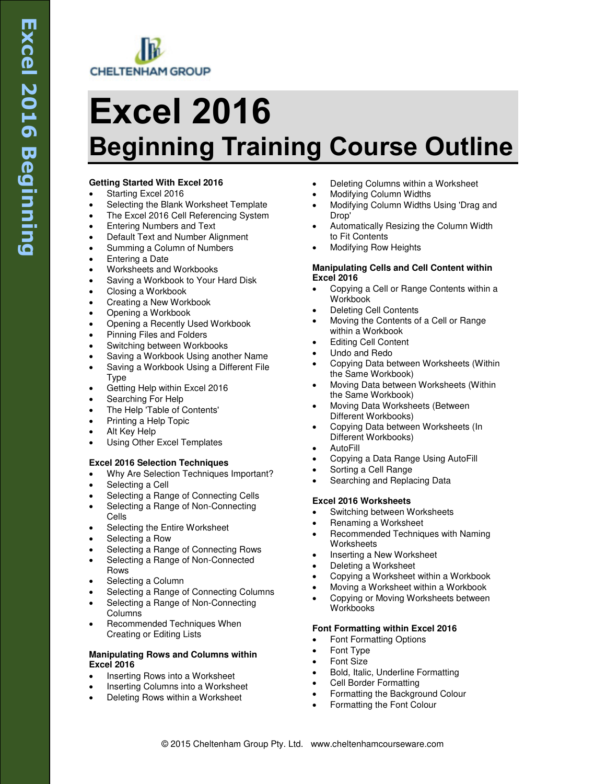

# **Excel 2016 Beginning Training Course Outline**

# **Getting Started With Excel 2016**

- Starting Excel 2016
- Selecting the Blank Worksheet Template
- The Excel 2016 Cell Referencing System
- Entering Numbers and Text
- Default Text and Number Alignment
- Summing a Column of Numbers
- Entering a Date
- Worksheets and Workbooks
- Saving a Workbook to Your Hard Disk
- Closing a Workbook
- Creating a New Workbook
- Opening a Workbook
- Opening a Recently Used Workbook
- Pinning Files and Folders
- Switching between Workbooks
- Saving a Workbook Using another Name
- Saving a Workbook Using a Different File Type
- Getting Help within Excel 2016
- Searching For Help
- The Help 'Table of Contents'
- Printing a Help Topic
- Alt Key Help
- Using Other Excel Templates

# **Excel 2016 Selection Techniques**

- Why Are Selection Techniques Important?
- Selecting a Cell
- Selecting a Range of Connecting Cells
- Selecting a Range of Non-Connecting Cells
- Selecting the Entire Worksheet
- Selecting a Row
- Selecting a Range of Connecting Rows
- Selecting a Range of Non-Connected Rows
- Selecting a Column
- Selecting a Range of Connecting Columns
- Selecting a Range of Non-Connecting Columns
- Recommended Techniques When Creating or Editing Lists

#### **Manipulating Rows and Columns within Excel 2016**

- Inserting Rows into a Worksheet
- Inserting Columns into a Worksheet
- Deleting Rows within a Worksheet
- Deleting Columns within a Worksheet
- Modifying Column Widths
- Modifying Column Widths Using 'Drag and Drop'
- Automatically Resizing the Column Width to Fit Contents
- Modifying Row Heights

#### **Manipulating Cells and Cell Content within Excel 2016**

- Copying a Cell or Range Contents within a Workbook
- Deleting Cell Contents
- Moving the Contents of a Cell or Range within a Workbook
- Editing Cell Content
- Undo and Redo
- Copying Data between Worksheets (Within the Same Workbook)
- Moving Data between Worksheets (Within the Same Workbook)
- Moving Data Worksheets (Between Different Workbooks)
- Copying Data between Worksheets (In Different Workbooks)
- AutoFill
- Copying a Data Range Using AutoFill
- Sorting a Cell Range
- Searching and Replacing Data

# **Excel 2016 Worksheets**

- Switching between Worksheets
- Renaming a Worksheet
- Recommended Techniques with Naming **Worksheets**
- Inserting a New Worksheet
- Deleting a Worksheet
- Copying a Worksheet within a Workbook
- Moving a Worksheet within a Workbook
- Copying or Moving Worksheets between Workbooks

# **Font Formatting within Excel 2016**

- Font Formatting Options
- Font Type
- Font Size
- Bold, Italic, Underline Formatting
- Cell Border Formatting
- Formatting the Background Colour
- Formatting the Font Colour